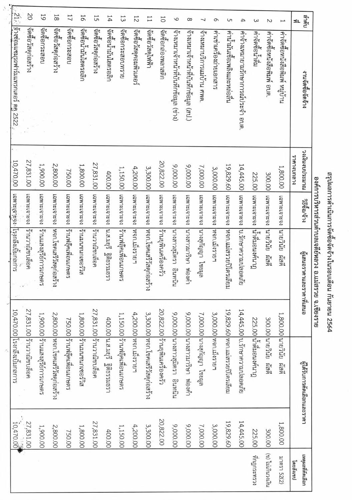. 21 : | อ้างช่อมแชมรถฟาร์มแทรกเตอร์ ตุค 2522 ,  $\overline{0}$ 59  $\overline{8}$ กดเย  $\overline{11}$ 57 13 16 þŢ 12  $11$  $10$  $\circ$  $\infty$  $\overline{\phantom{0}}$  $\circ$  $\cup$  $\overline{a}$  $\overline{a}$  $\omega$  $\sim$ 31. ้<br>จัดซือวัสดุก่อสร้าง บอธะกองค์ ใจซือวัสดุก่อสร้าง ง นั ง เรื่องไม่ไม่ไฮดรอลิก ใจคือวัสดุก่อสร้าง |จัดซื้อน้ำมันไฮดรอลิก ดตอวัสดุใหฟ้า<br>จัดซอวัสดุใหฟ้า เริ่ม<br>จัดซือกระสอบทราย ง ซึ่งรักราชคุณภาเตอร์ ∣จัดซือกล่องพลาสติก |ข้างเหมาเจ้าหน้าที่บันทึกข้อมูล (สป.) จ้างเหมาเจ้าหน้าที่บันทึกข้อมูล (ช่าง) |<br>|คานามนเซอเพลิงและหล่อลิน จ้างเหมาบริการแม่บ้าน ศพด. ศาเซ่าเครื่องถ่ายเอกสาร |ค่าจ้างเหมายามรักษาการณ์ประจำ อบต เล็กนิย์ซิลต์ค์<br>เล็กจัดซื้อนำดิน |ค่าจัดซือหนังสือพิมพ์ อบต. |ค่าจัดซอหนังสือพิมพ์ หมู่บ้าน งานจัดซือจัดจ้าง างเห็นงบประมาณ ราคางบาลาง 27,831.00 20,822.00 เฉพาะเจาะจง ร้านยุพินเครื่องครัว 27,831.00 เฉพาะเจาะจง ร้านวาณิชบล็อค 1,900.00 2,800.00 14,445.00 เฉพาะเจาะจง บ.รักษาความปลอดภัย 1,800.00 | เฉพาะเจาะจง ร้านมายขนาเซอร์วิส 9,000.00 19,829.60 เฉพาะเจาะจง |หจก.แม่สรวยปิโตรเลียม 9,000.00 7,000.00 3,300.00 เฉพาะเจาะจง ทจก.โชคเสรีวัสดุก่อสร้าง 4,200.00 เฉพาะเจาะจง ทจก.เมีงรายฯ 1,800.00 เฉพาะเจาะจง นายวินัย ผัสดี 1,150.00 เฉพาะเจาะจง ร้านฟลิคเพื่อนเกษตร 3,000.00 เฉพาะเจาะจง หจก.เม็งรายฯ 750.00 เฉพาะเจาะจง ร้านฟลิคเพื่อนเกษตร 400.00 เฉพาะเจาะจง |น.ส.มยุรี ฐิติธรรมธรา 225.00 เฉพาะเจาะจง ใน้ำดิมอนงค์นาฎ 300.00 เฉพาะเจาะจง นายวินัย ผัสดี เลพาะเจาะโรเลินแก่ง (ระกรรมหล เฉพาะเจาะใจที่ เหจกได้ตรีวัสดุก่อสราง |คอลิบซอง ||รานวาณิชบดค ||แทนเจาะงง||มางสาวสุมิตรา อินทนิน | เฉพาะเจาะจง ||มางสาวมาริษา ||ดงคำ ยโรด เอกับรัก ครายนาคม วิธีชื่อ/จำง เนียนอราคาและราคาที่เสนอ 27,831.00 ร้านวาณิชบล็อค 27,831.00 ร้านวาณิชบล็อค 19,829.60 หจก.แม่สรวยปิโตรเลียม 14,445.00 บ.รักษาความปลอดภัย 20,822.00 ร้านยุพินเครื่องครัว 4,200.00 หจก.เม็งรายฯ 3,300.00 หจก.โชคเสรีวัสดุก่อสร้าง 9,000.00 นางสาวสุมิตรา อินทนิน 9,000.00 นางสาวมาริษา ฟองคำ 3,000.00 หอก.เม็งรายฯ 1,900.00 ร้านแสงสุริย์การเกษตร 2,800.00 หจก.โชคเสรีวัสดุก่อสร้าง 1,800.00 ร้านมนชนกเซอร์วิส 1,150.00 ร้านฟลุ๊คเพื่อนเกษตร 7,000.00 นางสุกัญญา ไชยมูล 1,800.00 นายวินัย ผัสดี 750.00 ร้านฟลิคเพื่อนเกษตร 400.00 น.ส.มยุรี ริติธรรมธรา 225.00 น้ำติมอนงค์นาฏ 300.00 นายวินัย ผัสดิ พี่ ะะ<br>ผู้ได้รับการคัดเลือกและราคา 27,831.00 20,822.00 27,831.00 19,829.60 14,445.00 1,800.00 7,000.00 2,800.00 1,800.00 3,300.00 9,000.00 9,000.00 1,900.00 1,150.00 4,200.00 3,000.00 400.00 750.00 225.00 300.00 (ข) ใม่เกินวงเงิน ที่กฎกระทรวง มาตรา 52(2) เหตุผลที่ศัดเลือก โดยสังเขป

 $10,470,00$  | เฉพาะเจาะจุงง |โรงกลืมบิ้มกลการ

10,470.00 โรงกลิ้งเบิมกลการ

สรุปผลการดำเนินการจัดซื้อจัดจ้างในรอบเดือน กันยายน 2564

องค์การบริหารส่วนตำบลเจดีย์หลวง อ.แม่สรวย จ.เขียงราย